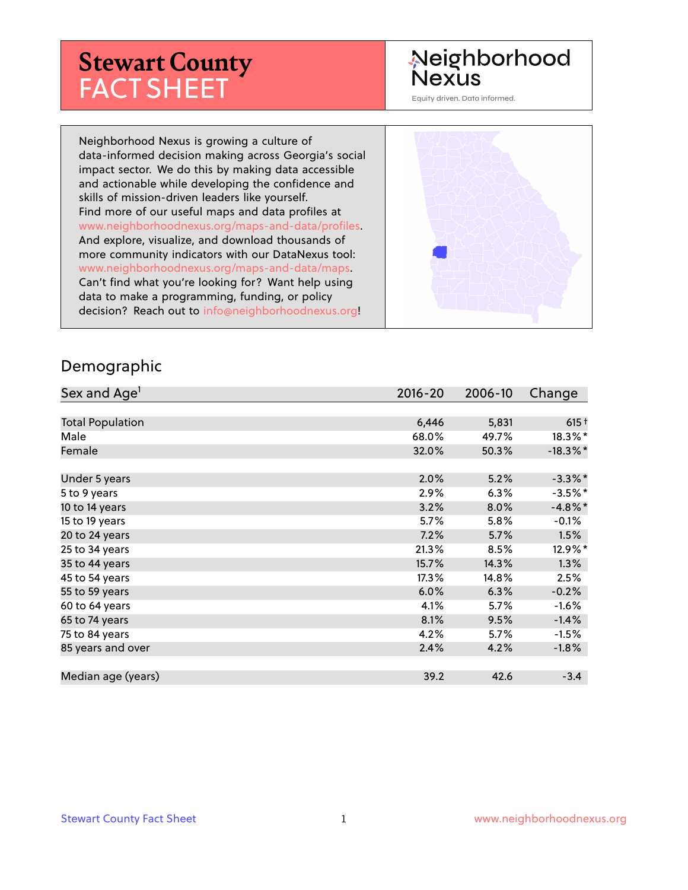# **Stewart County** FACT SHEET

#### Neighborhood **Nexus**

Equity driven. Data informed.

Neighborhood Nexus is growing a culture of data-informed decision making across Georgia's social impact sector. We do this by making data accessible and actionable while developing the confidence and skills of mission-driven leaders like yourself. Find more of our useful maps and data profiles at www.neighborhoodnexus.org/maps-and-data/profiles. And explore, visualize, and download thousands of more community indicators with our DataNexus tool: www.neighborhoodnexus.org/maps-and-data/maps. Can't find what you're looking for? Want help using data to make a programming, funding, or policy decision? Reach out to [info@neighborhoodnexus.org!](mailto:info@neighborhoodnexus.org)



#### Demographic

| Sex and Age <sup>1</sup> | $2016 - 20$ | 2006-10 | Change      |
|--------------------------|-------------|---------|-------------|
|                          |             |         |             |
| <b>Total Population</b>  | 6,446       | 5,831   | $615+$      |
| Male                     | 68.0%       | 49.7%   | $18.3\%$ *  |
| Female                   | 32.0%       | 50.3%   | $-18.3\%$ * |
|                          |             |         |             |
| Under 5 years            | 2.0%        | 5.2%    | $-3.3\%$ *  |
| 5 to 9 years             | 2.9%        | 6.3%    | $-3.5\%$ *  |
| 10 to 14 years           | 3.2%        | 8.0%    | $-4.8\%$ *  |
| 15 to 19 years           | 5.7%        | 5.8%    | $-0.1%$     |
| 20 to 24 years           | 7.2%        | 5.7%    | 1.5%        |
| 25 to 34 years           | 21.3%       | 8.5%    | 12.9%*      |
| 35 to 44 years           | 15.7%       | 14.3%   | 1.3%        |
| 45 to 54 years           | 17.3%       | 14.8%   | 2.5%        |
| 55 to 59 years           | 6.0%        | 6.3%    | $-0.2%$     |
| 60 to 64 years           | 4.1%        | 5.7%    | $-1.6%$     |
| 65 to 74 years           | 8.1%        | 9.5%    | $-1.4%$     |
| 75 to 84 years           | 4.2%        | 5.7%    | $-1.5%$     |
| 85 years and over        | 2.4%        | 4.2%    | $-1.8%$     |
|                          |             |         |             |
| Median age (years)       | 39.2        | 42.6    | $-3.4$      |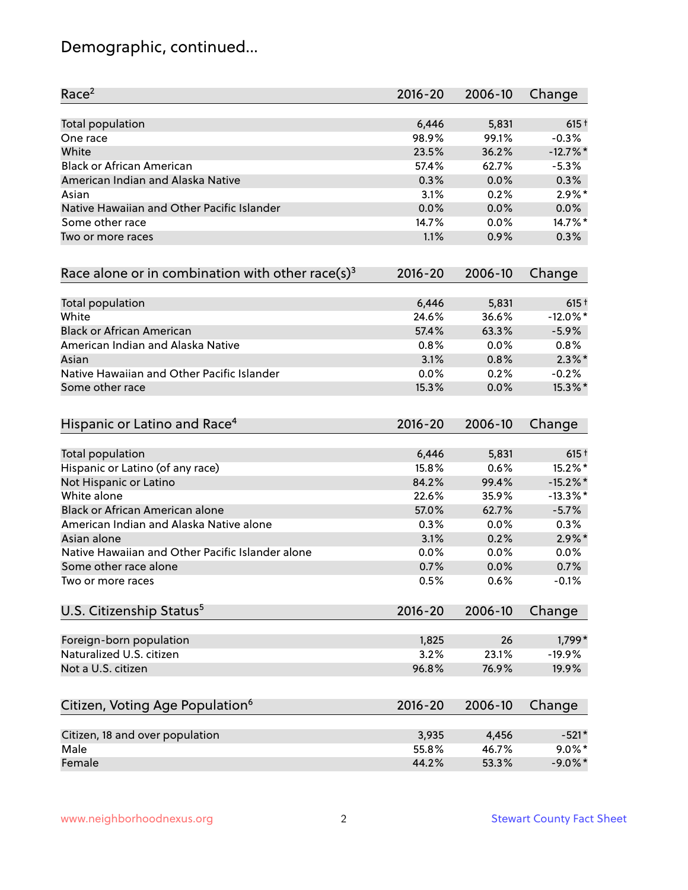# Demographic, continued...

| Race <sup>2</sup>                                            | $2016 - 20$ | 2006-10 | Change      |
|--------------------------------------------------------------|-------------|---------|-------------|
| <b>Total population</b>                                      | 6,446       | 5,831   | $615+$      |
| One race                                                     | 98.9%       | 99.1%   | $-0.3%$     |
| White                                                        | 23.5%       | 36.2%   | $-12.7%$ *  |
| <b>Black or African American</b>                             | 57.4%       | 62.7%   | $-5.3%$     |
| American Indian and Alaska Native                            | 0.3%        | 0.0%    | 0.3%        |
| Asian                                                        | 3.1%        | 0.2%    | $2.9\%$ *   |
| Native Hawaiian and Other Pacific Islander                   | 0.0%        | 0.0%    | 0.0%        |
| Some other race                                              | 14.7%       | 0.0%    | 14.7%*      |
| Two or more races                                            | 1.1%        | 0.9%    | 0.3%        |
| Race alone or in combination with other race(s) <sup>3</sup> | $2016 - 20$ | 2006-10 | Change      |
| Total population                                             | 6,446       | 5,831   | $615+$      |
| White                                                        | 24.6%       | 36.6%   | $-12.0\%$ * |
| <b>Black or African American</b>                             | 57.4%       | 63.3%   | $-5.9%$     |
| American Indian and Alaska Native                            | 0.8%        | 0.0%    | 0.8%        |
| Asian                                                        | 3.1%        | 0.8%    | $2.3\%$ *   |
| Native Hawaiian and Other Pacific Islander                   | 0.0%        | 0.2%    | $-0.2%$     |
| Some other race                                              | 15.3%       | 0.0%    | 15.3%*      |
| Hispanic or Latino and Race <sup>4</sup>                     | $2016 - 20$ | 2006-10 | Change      |
| <b>Total population</b>                                      | 6,446       | 5,831   | $615+$      |
| Hispanic or Latino (of any race)                             | 15.8%       | 0.6%    | 15.2%*      |
| Not Hispanic or Latino                                       | 84.2%       | 99.4%   | $-15.2\%$ * |
| White alone                                                  | 22.6%       | 35.9%   | $-13.3\%$ * |
| Black or African American alone                              | 57.0%       | 62.7%   | $-5.7%$     |
| American Indian and Alaska Native alone                      | 0.3%        | $0.0\%$ | 0.3%        |
| Asian alone                                                  | 3.1%        | 0.2%    | $2.9\%$ *   |
| Native Hawaiian and Other Pacific Islander alone             | 0.0%        | 0.0%    | 0.0%        |
| Some other race alone                                        | 0.7%        | 0.0%    | 0.7%        |
| Two or more races                                            | 0.5%        | 0.6%    | $-0.1%$     |
| U.S. Citizenship Status <sup>5</sup>                         | $2016 - 20$ | 2006-10 | Change      |
| Foreign-born population                                      | 1,825       | 26      | 1,799*      |
| Naturalized U.S. citizen                                     | 3.2%        | 23.1%   | $-19.9%$    |
| Not a U.S. citizen                                           | 96.8%       | 76.9%   | 19.9%       |
| Citizen, Voting Age Population <sup>6</sup>                  | $2016 - 20$ | 2006-10 | Change      |
| Citizen, 18 and over population                              | 3,935       | 4,456   | $-521*$     |
| Male                                                         | 55.8%       | 46.7%   | $9.0\%$ *   |
| Female                                                       | 44.2%       | 53.3%   | $-9.0\%$ *  |
|                                                              |             |         |             |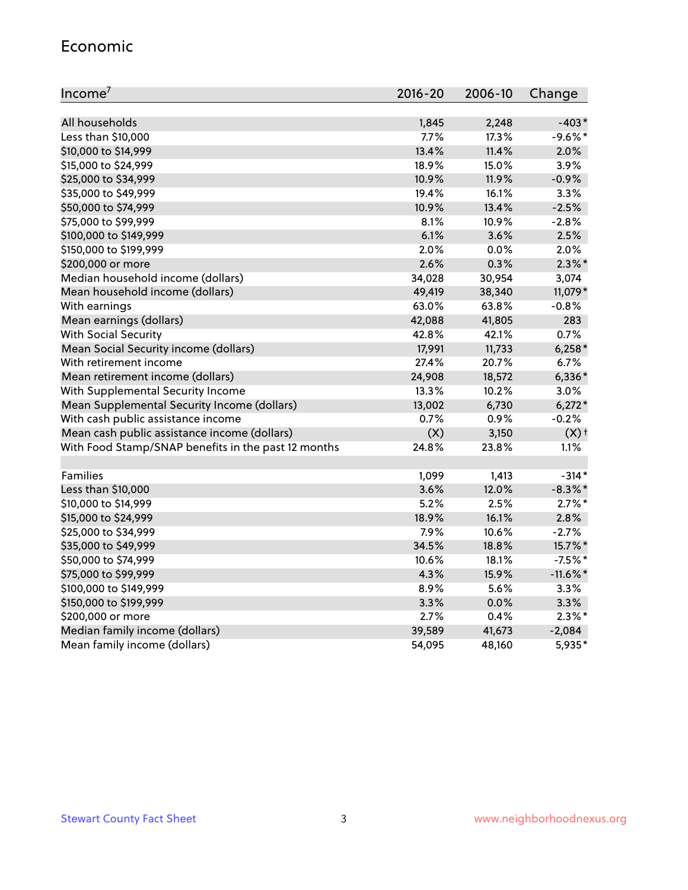#### Economic

| Income <sup>7</sup>                                 | $2016 - 20$ | 2006-10 | Change             |
|-----------------------------------------------------|-------------|---------|--------------------|
|                                                     |             |         |                    |
| All households                                      | 1,845       | 2,248   | $-403*$            |
| Less than \$10,000                                  | 7.7%        | 17.3%   | $-9.6%$ *          |
| \$10,000 to \$14,999                                | 13.4%       | 11.4%   | 2.0%               |
| \$15,000 to \$24,999                                | 18.9%       | 15.0%   | 3.9%               |
| \$25,000 to \$34,999                                | 10.9%       | 11.9%   | $-0.9%$            |
| \$35,000 to \$49,999                                | 19.4%       | 16.1%   | 3.3%               |
| \$50,000 to \$74,999                                | 10.9%       | 13.4%   | $-2.5%$            |
| \$75,000 to \$99,999                                | 8.1%        | 10.9%   | $-2.8%$            |
| \$100,000 to \$149,999                              | 6.1%        | 3.6%    | 2.5%               |
| \$150,000 to \$199,999                              | 2.0%        | 0.0%    | 2.0%               |
| \$200,000 or more                                   | 2.6%        | 0.3%    | $2.3\%$ *          |
| Median household income (dollars)                   | 34,028      | 30,954  | 3,074              |
| Mean household income (dollars)                     | 49,419      | 38,340  | 11,079*            |
| With earnings                                       | 63.0%       | 63.8%   | $-0.8%$            |
| Mean earnings (dollars)                             | 42,088      | 41,805  | 283                |
| <b>With Social Security</b>                         | 42.8%       | 42.1%   | 0.7%               |
| Mean Social Security income (dollars)               | 17,991      | 11,733  | $6,258*$           |
| With retirement income                              | 27.4%       | 20.7%   | 6.7%               |
| Mean retirement income (dollars)                    | 24,908      | 18,572  | $6,336*$           |
| With Supplemental Security Income                   | 13.3%       | 10.2%   | 3.0%               |
| Mean Supplemental Security Income (dollars)         | 13,002      | 6,730   | $6,272*$           |
| With cash public assistance income                  | 0.7%        | 0.9%    | $-0.2%$            |
| Mean cash public assistance income (dollars)        | (X)         | 3,150   | $(X)$ <sup>+</sup> |
| With Food Stamp/SNAP benefits in the past 12 months | 24.8%       | 23.8%   | 1.1%               |
|                                                     |             |         |                    |
| Families                                            | 1,099       | 1,413   | $-314*$            |
| Less than \$10,000                                  | 3.6%        | 12.0%   | $-8.3\%$ *         |
| \$10,000 to \$14,999                                | 5.2%        | 2.5%    | $2.7\%$ *          |
| \$15,000 to \$24,999                                | 18.9%       | 16.1%   | 2.8%               |
| \$25,000 to \$34,999                                | 7.9%        | 10.6%   | $-2.7%$            |
| \$35,000 to \$49,999                                | 34.5%       | 18.8%   | 15.7%*             |
| \$50,000 to \$74,999                                | 10.6%       | 18.1%   | $-7.5%$ *          |
| \$75,000 to \$99,999                                | 4.3%        | 15.9%   | $-11.6\%$ *        |
| \$100,000 to \$149,999                              | 8.9%        | 5.6%    | 3.3%               |
| \$150,000 to \$199,999                              | 3.3%        | 0.0%    | 3.3%               |
| \$200,000 or more                                   | 2.7%        | 0.4%    | $2.3\%$ *          |
| Median family income (dollars)                      | 39,589      | 41,673  | $-2,084$           |
| Mean family income (dollars)                        | 54,095      | 48,160  | 5,935*             |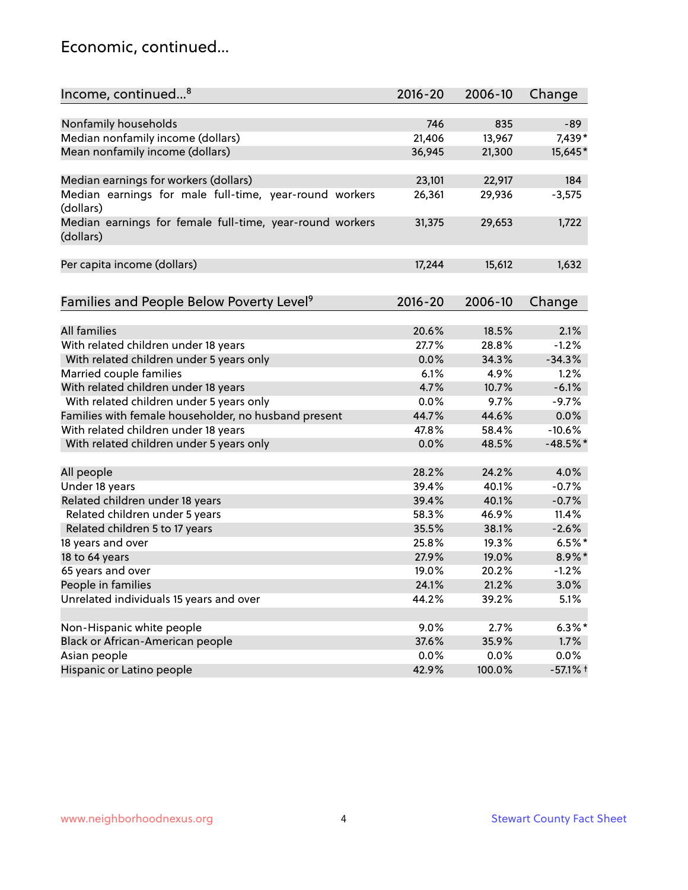#### Economic, continued...

| Income, continued <sup>8</sup>                           | $2016 - 20$ | 2006-10 | Change     |
|----------------------------------------------------------|-------------|---------|------------|
| Nonfamily households                                     | 746         | 835     | $-89$      |
|                                                          | 21,406      | 13,967  | 7,439*     |
| Median nonfamily income (dollars)                        |             |         |            |
| Mean nonfamily income (dollars)                          | 36,945      | 21,300  | 15,645*    |
| Median earnings for workers (dollars)                    | 23,101      | 22,917  | 184        |
| Median earnings for male full-time, year-round workers   | 26,361      | 29,936  | $-3,575$   |
| (dollars)                                                |             |         |            |
| Median earnings for female full-time, year-round workers | 31,375      | 29,653  | 1,722      |
| (dollars)                                                |             |         |            |
| Per capita income (dollars)                              | 17,244      | 15,612  | 1,632      |
|                                                          |             |         |            |
| Families and People Below Poverty Level <sup>9</sup>     | 2016-20     | 2006-10 | Change     |
|                                                          |             |         |            |
| <b>All families</b>                                      | 20.6%       | 18.5%   | 2.1%       |
| With related children under 18 years                     | 27.7%       | 28.8%   | $-1.2%$    |
| With related children under 5 years only                 | 0.0%        | 34.3%   | $-34.3%$   |
| Married couple families                                  | 6.1%        | 4.9%    | 1.2%       |
| With related children under 18 years                     | 4.7%        | 10.7%   | $-6.1%$    |
| With related children under 5 years only                 | 0.0%        | 9.7%    | $-9.7%$    |
| Families with female householder, no husband present     | 44.7%       | 44.6%   | 0.0%       |
| With related children under 18 years                     | 47.8%       | 58.4%   | $-10.6%$   |
| With related children under 5 years only                 | 0.0%        | 48.5%   | $-48.5%$ * |
|                                                          |             |         |            |
| All people                                               | 28.2%       | 24.2%   | 4.0%       |
| Under 18 years                                           | 39.4%       | 40.1%   | $-0.7%$    |
| Related children under 18 years                          | 39.4%       | 40.1%   | $-0.7%$    |
| Related children under 5 years                           | 58.3%       | 46.9%   | 11.4%      |
| Related children 5 to 17 years                           | 35.5%       | 38.1%   | $-2.6%$    |
| 18 years and over                                        | 25.8%       | 19.3%   | $6.5%$ *   |
| 18 to 64 years                                           | 27.9%       | 19.0%   | 8.9%*      |
| 65 years and over                                        | 19.0%       | 20.2%   | $-1.2%$    |
| People in families                                       | 24.1%       | 21.2%   | 3.0%       |
| Unrelated individuals 15 years and over                  | 44.2%       | 39.2%   | 5.1%       |
|                                                          |             |         |            |
| Non-Hispanic white people                                | 9.0%        | 2.7%    | $6.3\%$ *  |
| Black or African-American people                         | 37.6%       | 35.9%   | 1.7%       |
| Asian people                                             | 0.0%        | 0.0%    | $0.0\%$    |
| Hispanic or Latino people                                | 42.9%       | 100.0%  | $-57.1%$ † |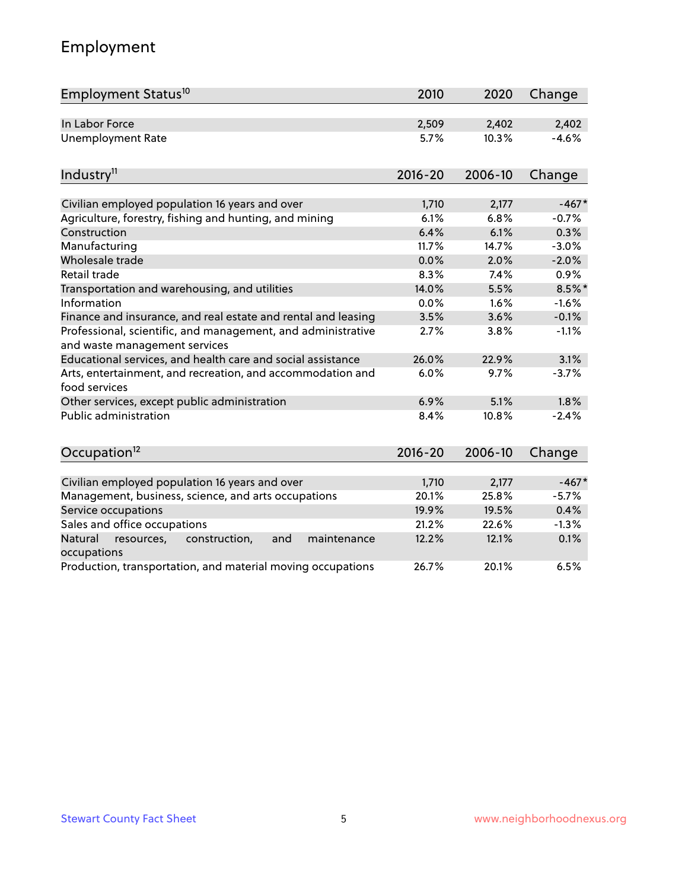# Employment

| Employment Status <sup>10</sup>                                                                          | 2010          | 2020          | Change    |
|----------------------------------------------------------------------------------------------------------|---------------|---------------|-----------|
| In Labor Force                                                                                           | 2,509         | 2,402         | 2,402     |
| <b>Unemployment Rate</b>                                                                                 | 5.7%          | 10.3%         | $-4.6%$   |
| Industry <sup>11</sup>                                                                                   | $2016 - 20$   | 2006-10       | Change    |
|                                                                                                          |               |               | $-467*$   |
| Civilian employed population 16 years and over<br>Agriculture, forestry, fishing and hunting, and mining | 1,710<br>6.1% | 2,177<br>6.8% | $-0.7%$   |
| Construction                                                                                             | 6.4%          | 6.1%          | 0.3%      |
| Manufacturing                                                                                            | 11.7%         | 14.7%         | $-3.0%$   |
| Wholesale trade                                                                                          | 0.0%          | 2.0%          | $-2.0%$   |
| Retail trade                                                                                             | 8.3%          | 7.4%          | 0.9%      |
| Transportation and warehousing, and utilities                                                            | 14.0%         | 5.5%          | $8.5\%$ * |
| Information                                                                                              | 0.0%          | 1.6%          | $-1.6%$   |
| Finance and insurance, and real estate and rental and leasing                                            | 3.5%          | 3.6%          | $-0.1%$   |
| Professional, scientific, and management, and administrative<br>and waste management services            | 2.7%          | 3.8%          | $-1.1%$   |
| Educational services, and health care and social assistance                                              | 26.0%         | 22.9%         | 3.1%      |
| Arts, entertainment, and recreation, and accommodation and<br>food services                              | 6.0%          | 9.7%          | $-3.7%$   |
| Other services, except public administration                                                             | 6.9%          | 5.1%          | 1.8%      |
| Public administration                                                                                    | 8.4%          | 10.8%         | $-2.4%$   |
| Occupation <sup>12</sup>                                                                                 | $2016 - 20$   | 2006-10       | Change    |
|                                                                                                          |               |               |           |
| Civilian employed population 16 years and over                                                           | 1,710         | 2,177         | $-467*$   |
| Management, business, science, and arts occupations                                                      | 20.1%         | 25.8%         | $-5.7%$   |
| Service occupations                                                                                      | 19.9%         | 19.5%         | 0.4%      |
| Sales and office occupations                                                                             | 21.2%         | 22.6%         | $-1.3%$   |
| Natural<br>and<br>maintenance<br>resources,<br>construction,<br>occupations                              | 12.2%         | 12.1%         | 0.1%      |
| Production, transportation, and material moving occupations                                              | 26.7%         | 20.1%         | 6.5%      |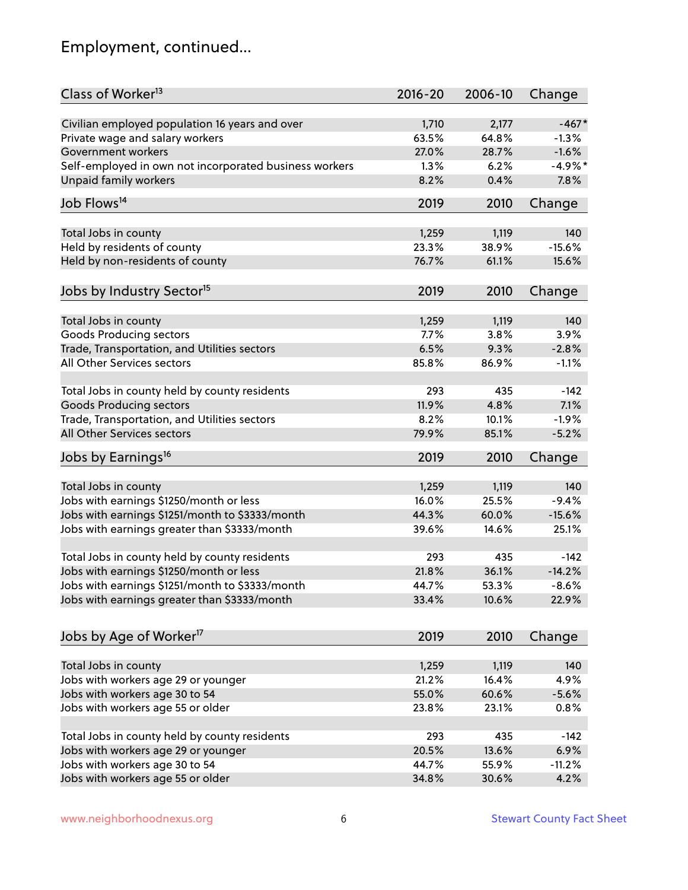# Employment, continued...

| Class of Worker <sup>13</sup>                          | $2016 - 20$ | 2006-10        | Change    |
|--------------------------------------------------------|-------------|----------------|-----------|
| Civilian employed population 16 years and over         | 1,710       | 2,177          | $-467*$   |
| Private wage and salary workers                        | 63.5%       | 64.8%          | $-1.3%$   |
| Government workers                                     | 27.0%       | 28.7%          | $-1.6%$   |
| Self-employed in own not incorporated business workers | 1.3%        | 6.2%           | $-4.9%$ * |
| <b>Unpaid family workers</b>                           | 8.2%        | 0.4%           | 7.8%      |
| Job Flows <sup>14</sup>                                | 2019        | 2010           | Change    |
|                                                        |             |                |           |
| Total Jobs in county                                   | 1,259       | 1,119          | 140       |
| Held by residents of county                            | 23.3%       | 38.9%          | $-15.6%$  |
| Held by non-residents of county                        | 76.7%       | 61.1%          | 15.6%     |
| Jobs by Industry Sector <sup>15</sup>                  | 2019        | 2010           | Change    |
| Total Jobs in county                                   | 1,259       | 1,119          | 140       |
| <b>Goods Producing sectors</b>                         | 7.7%        | 3.8%           | 3.9%      |
| Trade, Transportation, and Utilities sectors           | 6.5%        | 9.3%           | $-2.8%$   |
| All Other Services sectors                             | 85.8%       | 86.9%          | $-1.1%$   |
|                                                        |             |                |           |
| Total Jobs in county held by county residents          | 293         | 435            | $-142$    |
| <b>Goods Producing sectors</b>                         | 11.9%       | 4.8%           | 7.1%      |
| Trade, Transportation, and Utilities sectors           | 8.2%        | 10.1%          | $-1.9%$   |
| All Other Services sectors                             | 79.9%       | 85.1%          | $-5.2%$   |
| Jobs by Earnings <sup>16</sup>                         | 2019        | 2010           | Change    |
|                                                        |             |                |           |
| Total Jobs in county                                   | 1,259       | 1,119<br>25.5% | 140       |
| Jobs with earnings \$1250/month or less                | 16.0%       |                | $-9.4%$   |
| Jobs with earnings \$1251/month to \$3333/month        | 44.3%       | 60.0%          | $-15.6%$  |
| Jobs with earnings greater than \$3333/month           | 39.6%       | 14.6%          | 25.1%     |
| Total Jobs in county held by county residents          | 293         | 435            | $-142$    |
| Jobs with earnings \$1250/month or less                | 21.8%       | 36.1%          | $-14.2%$  |
| Jobs with earnings \$1251/month to \$3333/month        | 44.7%       | 53.3%          | $-8.6\%$  |
| Jobs with earnings greater than \$3333/month           | 33.4%       | 10.6%          | 22.9%     |
| Jobs by Age of Worker <sup>17</sup>                    | 2019        | 2010           | Change    |
|                                                        |             |                |           |
| Total Jobs in county                                   | 1,259       | 1,119          | 140       |
| Jobs with workers age 29 or younger                    | 21.2%       | 16.4%          | 4.9%      |
| Jobs with workers age 30 to 54                         | 55.0%       | 60.6%          | $-5.6%$   |
| Jobs with workers age 55 or older                      | 23.8%       | 23.1%          | 0.8%      |
|                                                        |             |                |           |
| Total Jobs in county held by county residents          | 293         | 435            | $-142$    |
| Jobs with workers age 29 or younger                    | 20.5%       | 13.6%          | 6.9%      |
| Jobs with workers age 30 to 54                         | 44.7%       | 55.9%          | $-11.2%$  |
| Jobs with workers age 55 or older                      | 34.8%       | 30.6%          | 4.2%      |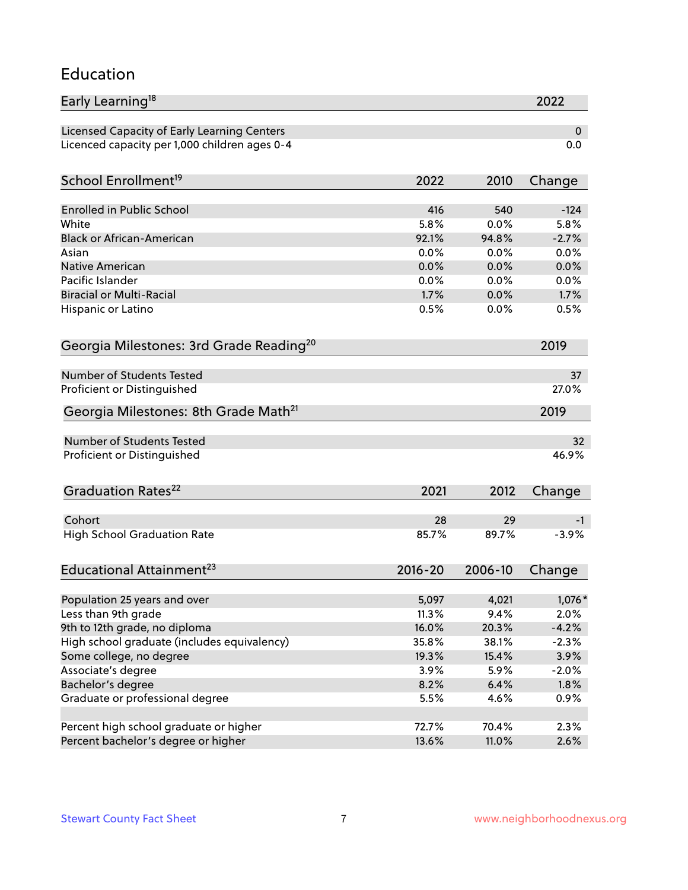#### Education

| Early Learning <sup>18</sup>                        |               |              | 2022    |
|-----------------------------------------------------|---------------|--------------|---------|
| Licensed Capacity of Early Learning Centers         |               |              | 0       |
| Licenced capacity per 1,000 children ages 0-4       |               |              | 0.0     |
| School Enrollment <sup>19</sup>                     | 2022          | 2010         | Change  |
|                                                     |               |              |         |
| <b>Enrolled in Public School</b>                    | 416           | 540          | $-124$  |
| White                                               | 5.8%          | 0.0%         | 5.8%    |
| <b>Black or African-American</b>                    | 92.1%<br>0.0% | 94.8%        | $-2.7%$ |
| Asian                                               |               | 0.0%         | 0.0%    |
| <b>Native American</b>                              | 0.0%          | 0.0%         | 0.0%    |
| Pacific Islander<br><b>Biracial or Multi-Racial</b> | 0.0%<br>1.7%  | 0.0%<br>0.0% | 0.0%    |
|                                                     |               |              | 1.7%    |
| Hispanic or Latino                                  | 0.5%          | 0.0%         | 0.5%    |
| Georgia Milestones: 3rd Grade Reading <sup>20</sup> |               |              | 2019    |
| Number of Students Tested                           |               |              | 37      |
| Proficient or Distinguished                         |               |              | 27.0%   |
| Georgia Milestones: 8th Grade Math <sup>21</sup>    |               |              | 2019    |
| <b>Number of Students Tested</b>                    |               |              | 32      |
| Proficient or Distinguished                         |               |              | 46.9%   |
|                                                     |               |              |         |
| Graduation Rates <sup>22</sup>                      | 2021          | 2012         | Change  |
| Cohort                                              | 28            | 29           | -1      |
| <b>High School Graduation Rate</b>                  | 85.7%         | 89.7%        | $-3.9%$ |
| Educational Attainment <sup>23</sup>                | $2016 - 20$   | 2006-10      | Change  |
|                                                     |               |              |         |
| Population 25 years and over                        | 5,097         | 4,021        | 1,076 * |
| Less than 9th grade                                 | 11.3%         | 9.4%         | 2.0%    |
| 9th to 12th grade, no diploma                       | 16.0%         | 20.3%        | $-4.2%$ |
| High school graduate (includes equivalency)         | 35.8%         | 38.1%        | $-2.3%$ |
| Some college, no degree                             | 19.3%         | 15.4%        | 3.9%    |
| Associate's degree                                  | 3.9%          | 5.9%         | $-2.0%$ |
| Bachelor's degree                                   | 8.2%          | 6.4%         | 1.8%    |
| Graduate or professional degree                     | 5.5%          | 4.6%         | 0.9%    |
|                                                     |               |              |         |
| Percent high school graduate or higher              | 72.7%         | 70.4%        | 2.3%    |
| Percent bachelor's degree or higher                 | 13.6%         | 11.0%        | 2.6%    |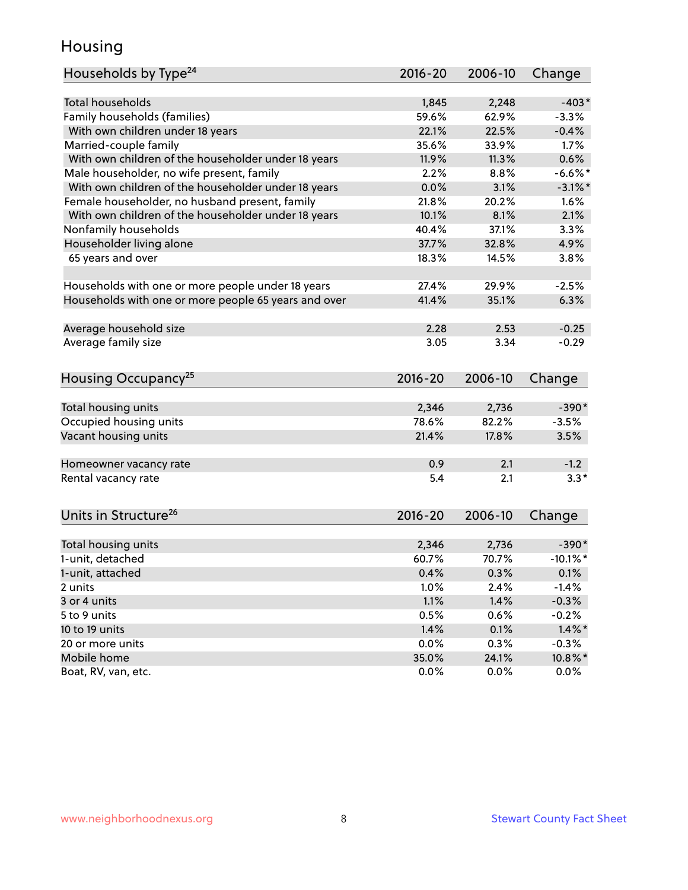#### Housing

| Households by Type <sup>24</sup>                     | 2016-20     | 2006-10 | Change      |
|------------------------------------------------------|-------------|---------|-------------|
|                                                      |             |         |             |
| <b>Total households</b>                              | 1,845       | 2,248   | $-403*$     |
| Family households (families)                         | 59.6%       | 62.9%   | $-3.3%$     |
| With own children under 18 years                     | 22.1%       | 22.5%   | $-0.4%$     |
| Married-couple family                                | 35.6%       | 33.9%   | 1.7%        |
| With own children of the householder under 18 years  | 11.9%       | 11.3%   | 0.6%        |
| Male householder, no wife present, family            | 2.2%        | 8.8%    | $-6.6%$ *   |
| With own children of the householder under 18 years  | 0.0%        | 3.1%    | $-3.1\%$ *  |
| Female householder, no husband present, family       | 21.8%       | 20.2%   | 1.6%        |
| With own children of the householder under 18 years  | 10.1%       | 8.1%    | 2.1%        |
| Nonfamily households                                 | 40.4%       | 37.1%   | 3.3%        |
| Householder living alone                             | 37.7%       | 32.8%   | 4.9%        |
| 65 years and over                                    | 18.3%       | 14.5%   | 3.8%        |
|                                                      |             |         |             |
| Households with one or more people under 18 years    | 27.4%       | 29.9%   | $-2.5%$     |
| Households with one or more people 65 years and over | 41.4%       | 35.1%   | 6.3%        |
|                                                      |             |         |             |
| Average household size                               | 2.28        | 2.53    | $-0.25$     |
| Average family size                                  | 3.05        | 3.34    | $-0.29$     |
|                                                      |             |         |             |
| Housing Occupancy <sup>25</sup>                      | 2016-20     | 2006-10 | Change      |
|                                                      |             |         |             |
| Total housing units                                  | 2,346       | 2,736   | $-390*$     |
| Occupied housing units                               | 78.6%       | 82.2%   | $-3.5%$     |
| Vacant housing units                                 | 21.4%       | 17.8%   | 3.5%        |
|                                                      |             |         |             |
| Homeowner vacancy rate                               | 0.9         | 2.1     | $-1.2$      |
| Rental vacancy rate                                  | 5.4         | 2.1     | $3.3*$      |
|                                                      |             |         |             |
| Units in Structure <sup>26</sup>                     | $2016 - 20$ | 2006-10 | Change      |
|                                                      |             |         |             |
| Total housing units                                  | 2,346       | 2,736   | $-390*$     |
| 1-unit, detached                                     | 60.7%       | 70.7%   | $-10.1\%$ * |
| 1-unit, attached                                     | 0.4%        | 0.3%    | 0.1%        |
| 2 units                                              | 1.0%        | 2.4%    | $-1.4%$     |
| 3 or 4 units                                         | 1.1%        | 1.4%    | $-0.3%$     |
| 5 to 9 units                                         | 0.5%        | 0.6%    | $-0.2%$     |
| 10 to 19 units                                       | 1.4%        | 0.1%    | $1.4\%$ *   |
| 20 or more units                                     | 0.0%        | 0.3%    | $-0.3%$     |
| Mobile home                                          | 35.0%       | 24.1%   | 10.8%*      |
|                                                      |             |         |             |
| Boat, RV, van, etc.                                  | 0.0%        | $0.0\%$ | 0.0%        |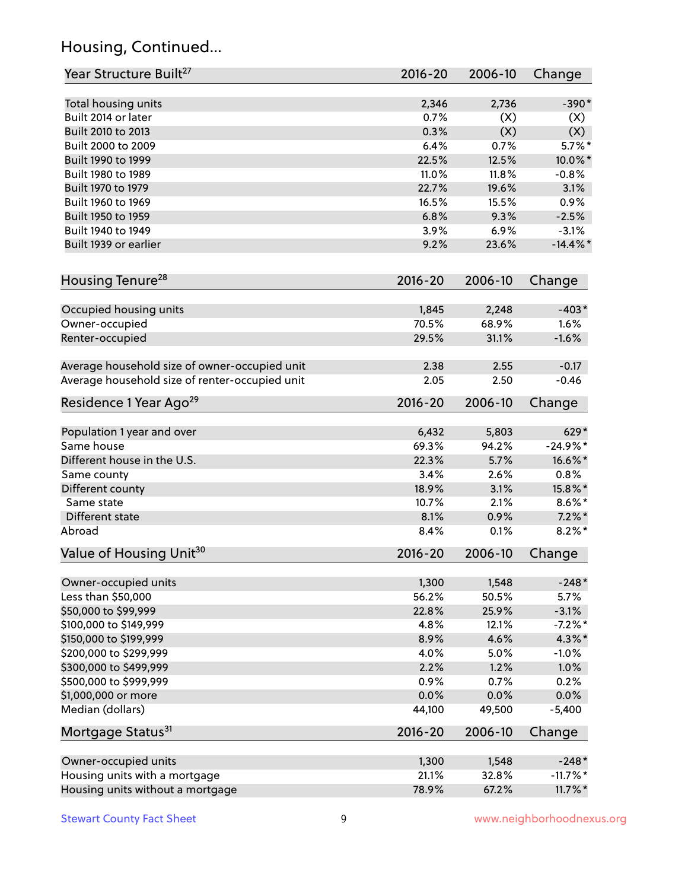# Housing, Continued...

| Year Structure Built <sup>27</sup>             | 2016-20        | 2006-10        | Change           |
|------------------------------------------------|----------------|----------------|------------------|
| Total housing units                            | 2,346          | 2,736          | $-390*$          |
| Built 2014 or later                            | 0.7%           | (X)            | (X)              |
| Built 2010 to 2013                             | 0.3%           | (X)            | (X)              |
| Built 2000 to 2009                             | 6.4%           | 0.7%           | $5.7\%$ *        |
| Built 1990 to 1999                             | 22.5%          | 12.5%          | 10.0%*           |
| Built 1980 to 1989                             | 11.0%          | 11.8%          | $-0.8%$          |
| Built 1970 to 1979                             | 22.7%          | 19.6%          | 3.1%             |
| Built 1960 to 1969                             | 16.5%          | 15.5%          | 0.9%             |
| Built 1950 to 1959                             | 6.8%           | 9.3%           | $-2.5%$          |
| Built 1940 to 1949                             | 3.9%           | 6.9%           | $-3.1%$          |
| Built 1939 or earlier                          | 9.2%           | 23.6%          | $-14.4\%$ *      |
| Housing Tenure <sup>28</sup>                   | $2016 - 20$    | 2006-10        | Change           |
| Occupied housing units                         | 1,845          | 2,248          | $-403*$          |
| Owner-occupied                                 | 70.5%          | 68.9%          | 1.6%             |
| Renter-occupied                                | 29.5%          | 31.1%          | $-1.6%$          |
| Average household size of owner-occupied unit  | 2.38           | 2.55           | $-0.17$          |
| Average household size of renter-occupied unit | 2.05           | 2.50           | $-0.46$          |
| Residence 1 Year Ago <sup>29</sup>             | 2016-20        | 2006-10        | Change           |
| Population 1 year and over                     | 6,432          | 5,803          | 629*             |
| Same house                                     | 69.3%          | 94.2%          | $-24.9%$ *       |
| Different house in the U.S.                    | 22.3%          | 5.7%           | 16.6%*           |
| Same county                                    | 3.4%           | 2.6%           | 0.8%             |
| Different county                               | 18.9%          | 3.1%           | 15.8%*           |
| Same state                                     | 10.7%          | 2.1%           | $8.6\%*$         |
| Different state                                | 8.1%           | 0.9%           | $7.2\%$ *        |
| Abroad                                         | 8.4%           | 0.1%           | $8.2\%$ *        |
| Value of Housing Unit <sup>30</sup>            | $2016 - 20$    | 2006-10        | Change           |
| Owner-occupied units                           | 1,300          | 1,548          | $-248*$          |
| Less than \$50,000                             | 56.2%          | 50.5%          | 5.7%             |
| \$50,000 to \$99,999                           | 22.8%          | 25.9%          | $-3.1%$          |
| \$100,000 to \$149,999                         | 4.8%           | 12.1%          | $-7.2%$ *        |
| \$150,000 to \$199,999                         | 8.9%           | 4.6%           | 4.3%*            |
| \$200,000 to \$299,999                         | 4.0%           | 5.0%           | $-1.0%$          |
| \$300,000 to \$499,999                         | 2.2%           | 1.2%           | 1.0%             |
| \$500,000 to \$999,999                         | 0.9%           | 0.7%           | 0.2%             |
| \$1,000,000 or more<br>Median (dollars)        | 0.0%<br>44,100 | 0.0%<br>49,500 | 0.0%<br>$-5,400$ |
| Mortgage Status <sup>31</sup>                  | 2016-20        | 2006-10        | Change           |
| Owner-occupied units                           | 1,300          | 1,548          | $-248*$          |
| Housing units with a mortgage                  | 21.1%          | 32.8%          | $-11.7%$ *       |
| Housing units without a mortgage               | 78.9%          | 67.2%          | $11.7\%$ *       |
|                                                |                |                |                  |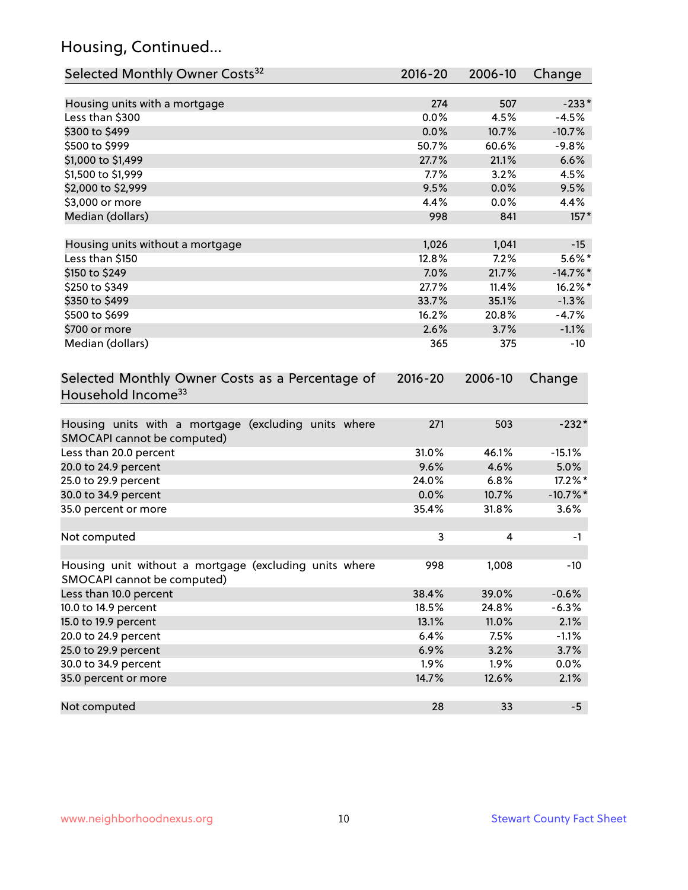# Housing, Continued...

| Selected Monthly Owner Costs <sup>32</sup>                                            | 2016-20     | 2006-10 | Change      |
|---------------------------------------------------------------------------------------|-------------|---------|-------------|
| Housing units with a mortgage                                                         | 274         | 507     | $-233*$     |
| Less than \$300                                                                       | 0.0%        | 4.5%    | $-4.5%$     |
| \$300 to \$499                                                                        | 0.0%        | 10.7%   | $-10.7%$    |
| \$500 to \$999                                                                        | 50.7%       | 60.6%   | $-9.8%$     |
| \$1,000 to \$1,499                                                                    | 27.7%       | 21.1%   | 6.6%        |
| \$1,500 to \$1,999                                                                    | 7.7%        | 3.2%    | 4.5%        |
| \$2,000 to \$2,999                                                                    | 9.5%        | 0.0%    | 9.5%        |
| \$3,000 or more                                                                       | 4.4%        | 0.0%    | 4.4%        |
| Median (dollars)                                                                      | 998         | 841     | $157*$      |
|                                                                                       |             |         |             |
| Housing units without a mortgage                                                      | 1,026       | 1,041   | $-15$       |
| Less than \$150                                                                       | 12.8%       | 7.2%    | $5.6\%$ *   |
| \$150 to \$249                                                                        | 7.0%        | 21.7%   | $-14.7\%$ * |
| \$250 to \$349                                                                        | 27.7%       | 11.4%   | 16.2%*      |
| \$350 to \$499                                                                        | 33.7%       | 35.1%   | $-1.3%$     |
| \$500 to \$699                                                                        | 16.2%       | 20.8%   | $-4.7%$     |
| \$700 or more                                                                         | 2.6%        | 3.7%    | $-1.1%$     |
| Median (dollars)                                                                      | 365         | 375     | $-10$       |
| Selected Monthly Owner Costs as a Percentage of<br>Household Income <sup>33</sup>     | $2016 - 20$ | 2006-10 | Change      |
| Housing units with a mortgage (excluding units where<br>SMOCAPI cannot be computed)   | 271         | 503     | $-232*$     |
| Less than 20.0 percent                                                                | 31.0%       | 46.1%   | $-15.1%$    |
| 20.0 to 24.9 percent                                                                  | 9.6%        | 4.6%    | 5.0%        |
| 25.0 to 29.9 percent                                                                  | 24.0%       | 6.8%    | $17.2\%$ *  |
| 30.0 to 34.9 percent                                                                  | 0.0%        | 10.7%   | $-10.7\%$ * |
| 35.0 percent or more                                                                  | 35.4%       | 31.8%   | 3.6%        |
| Not computed                                                                          | 3           | 4       | -1          |
|                                                                                       |             |         |             |
| Housing unit without a mortgage (excluding units where<br>SMOCAPI cannot be computed) | 998         | 1,008   | $-10$       |
| Less than 10.0 percent                                                                | 38.4%       | 39.0%   | $-0.6%$     |
| 10.0 to 14.9 percent                                                                  | 18.5%       | 24.8%   | $-6.3%$     |
| 15.0 to 19.9 percent                                                                  | 13.1%       | 11.0%   | 2.1%        |
| 20.0 to 24.9 percent                                                                  | 6.4%        | 7.5%    | $-1.1%$     |
| 25.0 to 29.9 percent                                                                  | 6.9%        | 3.2%    | 3.7%        |
| 30.0 to 34.9 percent                                                                  | 1.9%        | 1.9%    | 0.0%        |
| 35.0 percent or more                                                                  | 14.7%       | 12.6%   | 2.1%        |
| Not computed                                                                          | 28          | 33      | $-5$        |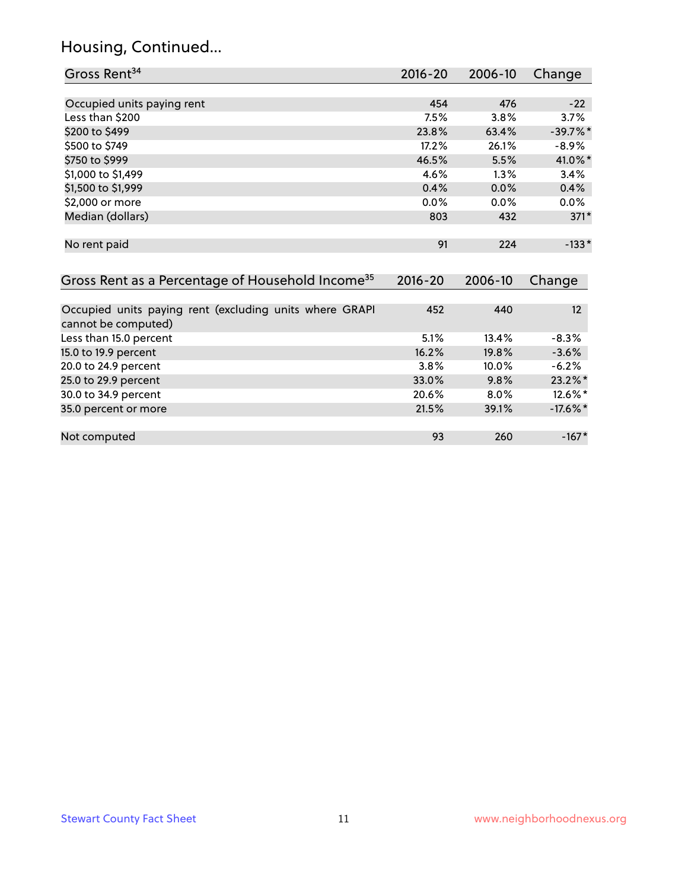#### Housing, Continued...

| Gross Rent <sup>34</sup>                                     | 2016-20     | 2006-10 | Change     |
|--------------------------------------------------------------|-------------|---------|------------|
|                                                              |             |         |            |
| Occupied units paying rent                                   | 454         | 476     | $-22$      |
| Less than \$200                                              | 7.5%        | 3.8%    | 3.7%       |
| \$200 to \$499                                               | 23.8%       | 63.4%   | $-39.7%$ * |
| \$500 to \$749                                               | 17.2%       | 26.1%   | $-8.9%$    |
| \$750 to \$999                                               | 46.5%       | 5.5%    | 41.0%*     |
| \$1,000 to \$1,499                                           | 4.6%        | $1.3\%$ | 3.4%       |
| \$1,500 to \$1,999                                           | 0.4%        | 0.0%    | 0.4%       |
| \$2,000 or more                                              | 0.0%        | 0.0%    | $0.0\%$    |
| Median (dollars)                                             | 803         | 432     | $371*$     |
| No rent paid                                                 | 91          | 224     | $-133*$    |
| Gross Rent as a Percentage of Household Income <sup>35</sup> | $2016 - 20$ | 2006-10 | Change     |
| Occupied units paying rent (excluding units where GRAPI      | 452         | 440     | 12         |
| cannot be computed)                                          |             |         |            |
| Less than 15.0 percent                                       | 5.1%        | 13.4%   | $-8.3%$    |
| 15.0 to 19.9 percent                                         | 16.2%       | 19.8%   | $-3.6%$    |
| 20.0 to 24.9 percent                                         | 3.8%        | 10.0%   | $-6.2%$    |

25.0 to 29.9 percent 33.0% 9.8% 23.2%\* 30.0 to 34.9 percent 20.6% 8.0% 12.6% 12.6% 12.6% 12.6% 12.6% 12.6% 12.6% 12.6% 12.6% 12.6% 12.6% 12.6% 12.6%<br>21.5% 21.5% 17.6% 17.6% 17.6% 17.6% 17.6% 17.6% 17.6% 17.6% 17.6% 17.6% 17.6% 17.6% 17.6% 17.6% 17.6% 17.6% 1

Not computed and the set of the set of the set of the set of the set of the set of the set of the set of the set of the set of the set of the set of the set of the set of the set of the set of the set of the set of the set

35.0 percent or more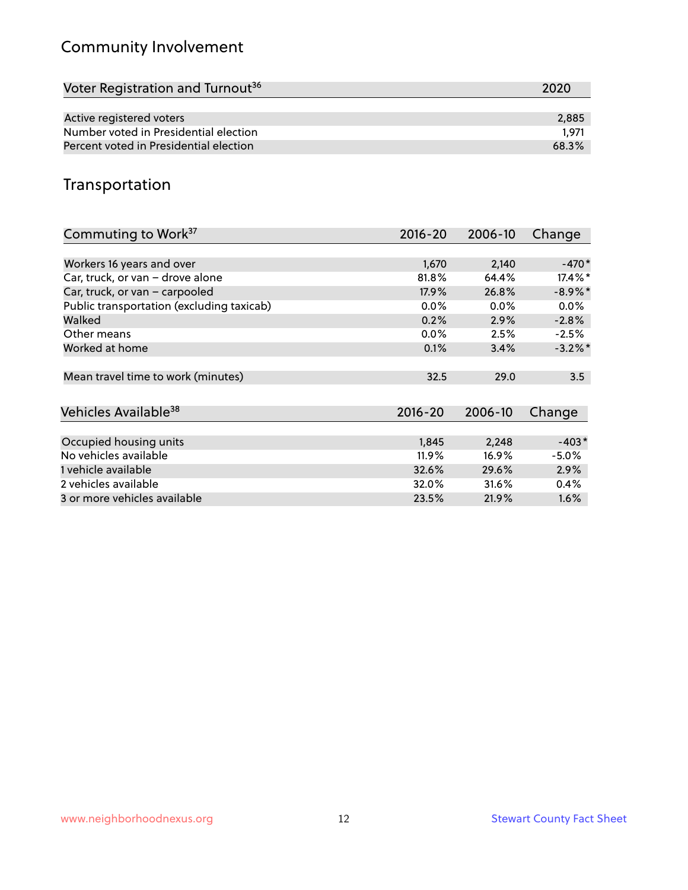# Community Involvement

| Voter Registration and Turnout <sup>36</sup> | 2020  |
|----------------------------------------------|-------|
|                                              |       |
| Active registered voters                     | 2,885 |
| Number voted in Presidential election        | 1.971 |
| Percent voted in Presidential election       | 68.3% |

#### Transportation

| Commuting to Work <sup>37</sup>           | 2016-20     | 2006-10 | Change     |
|-------------------------------------------|-------------|---------|------------|
|                                           |             |         |            |
| Workers 16 years and over                 | 1,670       | 2,140   | $-470*$    |
| Car, truck, or van - drove alone          | 81.8%       | 64.4%   | $17.4\%$ * |
| Car, truck, or van - carpooled            | 17.9%       | 26.8%   | $-8.9\%$ * |
| Public transportation (excluding taxicab) | $0.0\%$     | $0.0\%$ | 0.0%       |
| Walked                                    | 0.2%        | 2.9%    | $-2.8%$    |
| Other means                               | $0.0\%$     | 2.5%    | $-2.5%$    |
| Worked at home                            | 0.1%        | 3.4%    | $-3.2\%$ * |
|                                           |             |         |            |
| Mean travel time to work (minutes)        | 32.5        | 29.0    | 3.5        |
|                                           |             |         |            |
| Vehicles Available <sup>38</sup>          | $2016 - 20$ | 2006-10 | Change     |
|                                           |             |         |            |
| Occupied housing units                    | 1,845       | 2,248   | $-403*$    |
| No vehicles available                     | 11.9%       | 16.9%   | $-5.0%$    |
| 1 vehicle available                       | 32.6%       | 29.6%   | 2.9%       |
| 2 vehicles available                      | 32.0%       | 31.6%   | 0.4%       |
| 3 or more vehicles available              | 23.5%       | 21.9%   | $1.6\%$    |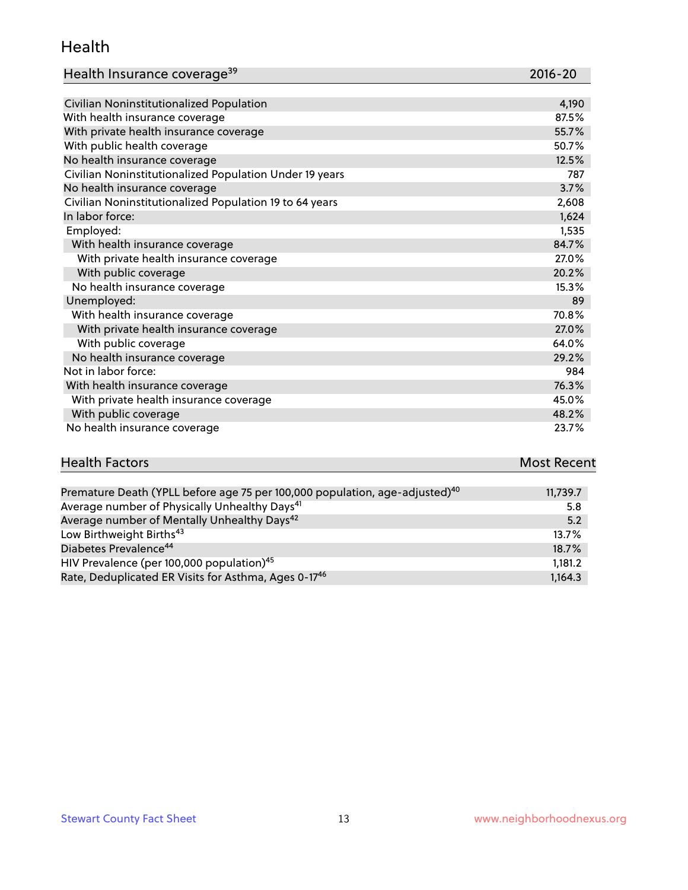#### Health

| Health Insurance coverage <sup>39</sup> | 2016-20 |
|-----------------------------------------|---------|
|-----------------------------------------|---------|

| Civilian Noninstitutionalized Population                | 4,190 |
|---------------------------------------------------------|-------|
| With health insurance coverage                          | 87.5% |
| With private health insurance coverage                  | 55.7% |
| With public health coverage                             | 50.7% |
| No health insurance coverage                            | 12.5% |
| Civilian Noninstitutionalized Population Under 19 years | 787   |
| No health insurance coverage                            | 3.7%  |
| Civilian Noninstitutionalized Population 19 to 64 years | 2,608 |
| In labor force:                                         | 1,624 |
| Employed:                                               | 1,535 |
| With health insurance coverage                          | 84.7% |
| With private health insurance coverage                  | 27.0% |
| With public coverage                                    | 20.2% |
| No health insurance coverage                            | 15.3% |
| Unemployed:                                             | 89    |
| With health insurance coverage                          | 70.8% |
| With private health insurance coverage                  | 27.0% |
| With public coverage                                    | 64.0% |
| No health insurance coverage                            | 29.2% |
| Not in labor force:                                     | 984   |
| With health insurance coverage                          | 76.3% |
| With private health insurance coverage                  | 45.0% |
| With public coverage                                    | 48.2% |
| No health insurance coverage                            | 23.7% |

# **Health Factors Most Recent** And The Control of the Control of The Control of The Control of The Control of The Control of The Control of The Control of The Control of The Control of The Control of The Control of The Contr

| Premature Death (YPLL before age 75 per 100,000 population, age-adjusted) <sup>40</sup> | 11,739.7 |
|-----------------------------------------------------------------------------------------|----------|
| Average number of Physically Unhealthy Days <sup>41</sup>                               | 5.8      |
| Average number of Mentally Unhealthy Days <sup>42</sup>                                 | 5.2      |
| Low Birthweight Births <sup>43</sup>                                                    | 13.7%    |
| Diabetes Prevalence <sup>44</sup>                                                       | 18.7%    |
| HIV Prevalence (per 100,000 population) <sup>45</sup>                                   | 1,181.2  |
| Rate, Deduplicated ER Visits for Asthma, Ages 0-1746                                    | 1.164.3  |